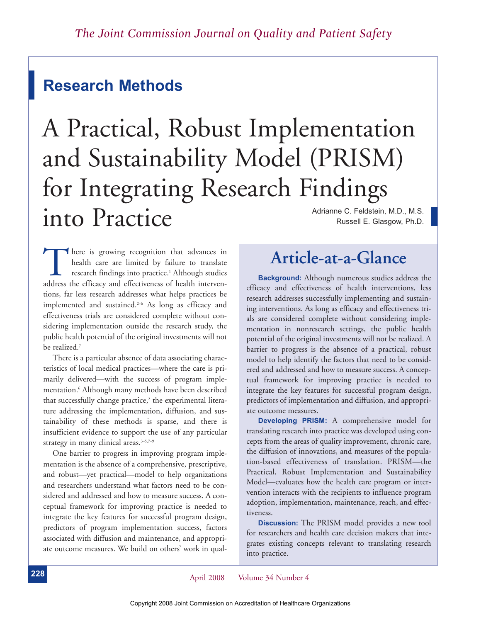# **Research Methods**

# A Practical, Robust Implementation and Sustainability Model (PRISM) for Integrating Research Findings into Practice Adrianne C. Feldstein, M.D., M.S. Russell E. Glasgow, Ph.D.

There is growing recognition that advances in health care are limited by failure to translate research findings into practice.<sup>1</sup> Although studies address the efficacy and effectiveness of health interventions, far less research addresses what helps practices be implemented and sustained.<sup>2-6</sup> As long as efficacy and effectiveness trials are considered complete without considering implementation outside the research study, the public health potential of the original investments will not be realized.7

There is a particular absence of data associating characteristics of local medical practices—where the care is primarily delivered—with the success of program implementation.<sup>6</sup> Although many methods have been described that successfully change practice,<sup>2</sup> the experimental literature addressing the implementation, diffusion, and sustainability of these methods is sparse, and there is insufficient evidence to support the use of any particular strategy in many clinical areas.<sup>3-5,7-9</sup>

One barrier to progress in improving program implementation is the absence of a comprehensive, prescriptive, and robust—yet practical—model to help organizations and researchers understand what factors need to be considered and addressed and how to measure success. A conceptual framework for improving practice is needed to integrate the key features for successful program design, predictors of program implementation success, factors associated with diffusion and maintenance, and appropriate outcome measures. We build on others' work in qual-

# **Article-at-a-Glance**

**Background:** Although numerous studies address the efficacy and effectiveness of health interventions, less research addresses successfully implementing and sustaining interventions. As long as efficacy and effectiveness trials are considered complete without considering implementation in nonresearch settings, the public health potential of the original investments will not be realized. A barrier to progress is the absence of a practical, robust model to help identify the factors that need to be considered and addressed and how to measure success. A conceptual framework for improving practice is needed to integrate the key features for successful program design, predictors of implementation and diffusion, and appropriate outcome measures.

**Developing PRISM:** A comprehensive model for translating research into practice was developed using concepts from the areas of quality improvement, chronic care, the diffusion of innovations, and measures of the population-based effectiveness of translation. PRISM—the Practical, Robust Implementation and Sustainability Model—evaluates how the health care program or intervention interacts with the recipients to influence program adoption, implementation, maintenance, reach, and effectiveness.

**Discussion:** The PRISM model provides a new tool for researchers and health care decision makers that integrates existing concepts relevant to translating research into practice.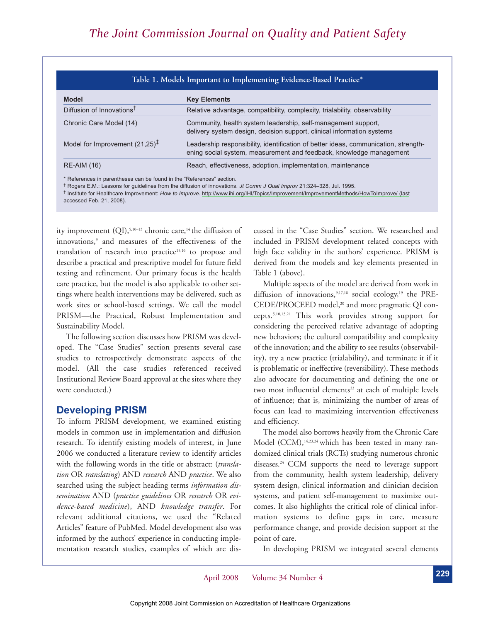| <b>Model</b>                               | <b>Key Elements</b>                                                                                                                                        |
|--------------------------------------------|------------------------------------------------------------------------------------------------------------------------------------------------------------|
| Diffusion of Innovations <sup>T</sup>      | Relative advantage, compatibility, complexity, trialability, observability                                                                                 |
| Chronic Care Model (14)                    | Community, health system leadership, self-management support,<br>delivery system design, decision support, clinical information systems                    |
| Model for Improvement $(21,25)^{\ddagger}$ | Leadership responsibility, identification of better ideas, communication, strength-<br>ening social system, measurement and feedback, knowledge management |
| <b>RE-AIM (16)</b>                         | Reach, effectiveness, adoption, implementation, maintenance                                                                                                |

<sup>†</sup> Rogers E.M.: Lessons for guidelines from the diffusion of innovations. *Jt Comm J Qual Improv* 21:324–328, Jul. 1995.<br><sup>‡</sup> Institute for Healthcare Improvement: *How to Improve.* http://www.ihi.org/IHI/Topics/Improvemen

accessed Feb. 21, 2008).

ity improvement  $(QI),$ <sup>5,10-13</sup> chronic care,<sup>14</sup> the diffusion of innovations,<sup>9</sup> and measures of the effectiveness of the translation of research into practice<sup>15,16</sup> to propose and describe a practical and prescriptive model for future field testing and refinement. Our primary focus is the health care practice, but the model is also applicable to other settings where health interventions may be delivered, such as work sites or school-based settings. We call the model PRISM—the Practical, Robust Implementation and Sustainability Model.

The following section discusses how PRISM was developed. The "Case Studies" section presents several case studies to retrospectively demonstrate aspects of the model. (All the case studies referenced received Institutional Review Board approval at the sites where they were conducted.)

#### **Developing PRISM**

To inform PRISM development, we examined existing models in common use in implementation and diffusion research. To identify existing models of interest, in June 2006 we conducted a literature review to identify articles with the following words in the title or abstract: (*translation* OR *translating*) AND *research* AND *practice*. We also searched using the subject heading terms *information dissemination* AND (*practice guidelines* OR *research* OR *evidence-based medicine*), AND *knowledge transfer*. For relevant additional citations, we used the "Related Articles" feature of PubMed. Model development also was informed by the authors' experience in conducting implementation research studies, examples of which are discussed in the "Case Studies" section. We researched and included in PRISM development related concepts with high face validity in the authors' experience. PRISM is derived from the models and key elements presented in Table 1 (above).

Multiple aspects of the model are derived from work in diffusion of innovations,<sup>9,17,18</sup> social ecology,<sup>19</sup> the PRE-CEDE/PROCEED model,<sup>20</sup> and more pragmatic QI concepts.5,10,13,21 This work provides strong support for considering the perceived relative advantage of adopting new behaviors; the cultural compatibility and complexity of the innovation; and the ability to see results (observability), try a new practice (trialability), and terminate it if it is problematic or ineffective (reversibility). These methods also advocate for documenting and defining the one or two most influential elements<sup>22</sup> at each of multiple levels of influence; that is, minimizing the number of areas of focus can lead to maximizing intervention effectiveness and efficiency.

The model also borrows heavily from the Chronic Care Model (CCM),<sup>14,23,24</sup> which has been tested in many randomized clinical trials (RCTs) studying numerous chronic diseases.24 CCM supports the need to leverage support from the community, health system leadership, delivery system design, clinical information and clinician decision systems, and patient self-management to maximize outcomes. It also highlights the critical role of clinical information systems to define gaps in care, measure performance change, and provide decision support at the point of care.

In developing PRISM we integrated several elements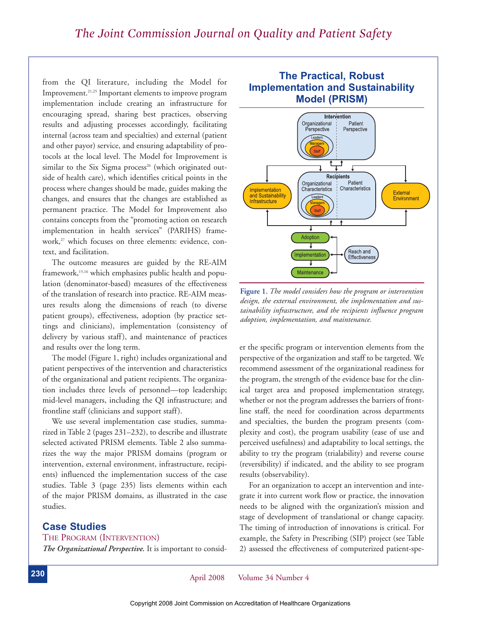from the QI literature, including the Model for Improvement.21,25 Important elements to improve program implementation include creating an infrastructure for encouraging spread, sharing best practices, observing results and adjusting processes accordingly, facilitating internal (across team and specialties) and external (patient and other payor) service, and ensuring adaptability of protocols at the local level. The Model for Improvement is similar to the Six Sigma process<sup>26</sup> (which originated outside of health care), which identifies critical points in the process where changes should be made, guides making the changes, and ensures that the changes are established as permanent practice. The Model for Improvement also contains concepts from the "promoting action on research implementation in health services" (PARIHS) framework,<sup>27</sup> which focuses on three elements: evidence, context, and facilitation.

The outcome measures are guided by the RE-AIM framework,<sup>15,16</sup> which emphasizes public health and population (denominator-based) measures of the effectiveness of the translation of research into practice. RE-AIM measures results along the dimensions of reach (to diverse patient groups), effectiveness, adoption (by practice settings and clinicians), implementation (consistency of delivery by various staff), and maintenance of practices and results over the long term.

The model (Figure 1, right) includes organizational and patient perspectives of the intervention and characteristics of the organizational and patient recipients. The organization includes three levels of personnel—top leadership; mid-level managers, including the QI infrastructure; and frontline staff (clinicians and support staff).

We use several implementation case studies, summarized in Table 2 (pages 231–232), to describe and illustrate selected activated PRISM elements. Table 2 also summarizes the way the major PRISM domains (program or intervention, external environment, infrastructure, recipients) influenced the implementation success of the case studies. Table 3 (page 235) lists elements within each of the major PRISM domains, as illustrated in the case studies.

#### **Case Studies**

#### THE PROGRAM (INTERVENTION)

*The Organizational Perspective.* It is important to consid-



**The Practical, Robust Implementation and Sustainability**

**Figure 1.** *The model considers how the program or intervention design, the external environment, the implementation and sustainability infrastructure, and the recipients influence program adoption, implementation, and maintenance.* 

er the specific program or intervention elements from the perspective of the organization and staff to be targeted. We recommend assessment of the organizational readiness for the program, the strength of the evidence base for the clinical target area and proposed implementation strategy, whether or not the program addresses the barriers of frontline staff, the need for coordination across departments and specialties, the burden the program presents (complexity and cost), the program usability (ease of use and perceived usefulness) and adaptability to local settings, the ability to try the program (trialability) and reverse course (reversibility) if indicated, and the ability to see program results (observability).

For an organization to accept an intervention and integrate it into current work flow or practice, the innovation needs to be aligned with the organization's mission and stage of development of translational or change capacity. The timing of introduction of innovations is critical. For example, the Safety in Prescribing (SIP) project (see Table 2) assessed the effectiveness of computerized patient-spe-

### **<sup>230</sup>** April 2008 Volume 34 Number 4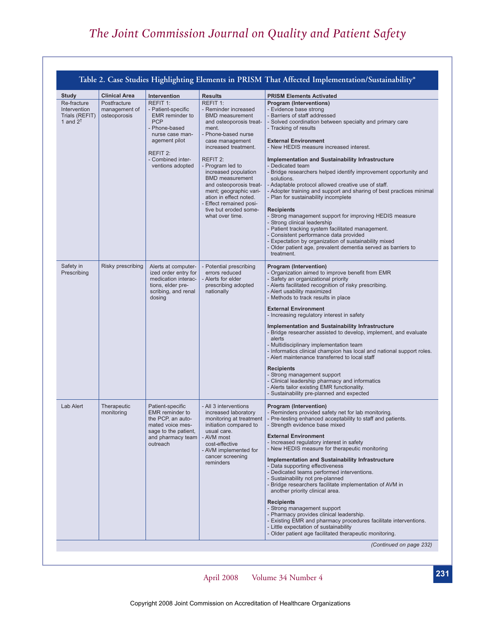| <b>Study</b>                                                         | <b>Clinical Area</b>                          | Intervention                                                                                                                                                                     | <b>Results</b>                                                                                                                                                                                                                                                                                                                                                                                           | <b>PRISM Elements Activated</b>                                                                                                                                                                                                                                                                                                                                                                                                                                                                                                                                                                                                                                                                                                                                                                                                                                                                                                                  |
|----------------------------------------------------------------------|-----------------------------------------------|----------------------------------------------------------------------------------------------------------------------------------------------------------------------------------|----------------------------------------------------------------------------------------------------------------------------------------------------------------------------------------------------------------------------------------------------------------------------------------------------------------------------------------------------------------------------------------------------------|--------------------------------------------------------------------------------------------------------------------------------------------------------------------------------------------------------------------------------------------------------------------------------------------------------------------------------------------------------------------------------------------------------------------------------------------------------------------------------------------------------------------------------------------------------------------------------------------------------------------------------------------------------------------------------------------------------------------------------------------------------------------------------------------------------------------------------------------------------------------------------------------------------------------------------------------------|
| Re-fracture<br>Intervention<br>Trials (REFIT)<br>1 and $2^{\dagger}$ | Postfracture<br>management of<br>osteoporosis | REFIT 1:<br>- Patient-specific<br><b>EMR</b> reminder to<br><b>PCP</b><br>- Phone-based<br>nurse case man-<br>agement pilot<br>REFIT 2:<br>- Combined inter-<br>ventions adopted | REFIT 1:<br>- Reminder increased<br><b>BMD</b> measurement<br>and osteoporosis treat-<br>ment.<br>- Phone-based nurse<br>case management<br>increased treatment.<br>REFIT 2:<br>- Program led to<br>increased population<br><b>BMD</b> measurement<br>and osteoporosis treat-<br>ment; geographic vari-<br>ation in effect noted.<br>- Effect remained posi-<br>tive but eroded some-<br>what over time. | <b>Program (Interventions)</b><br>- Evidence base strong<br>- Barriers of staff addressed<br>- Solved coordination between specialty and primary care<br>- Tracking of results<br><b>External Environment</b><br>- New HEDIS measure increased interest.<br>Implementation and Sustainability Infrastructure<br>- Dedicated team<br>- Bridge researchers helped identify improvement opportunity and<br>solutions.<br>- Adaptable protocol allowed creative use of staff.<br>- Adopter training and support and sharing of best practices minimal<br>- Plan for sustainability incomplete<br><b>Recipients</b><br>- Strong management support for improving HEDIS measure<br>- Strong clinical leadership<br>- Patient tracking system facilitated management.<br>- Consistent performance data provided<br>- Expectation by organization of sustainability mixed<br>- Older patient age, prevalent dementia served as barriers to<br>treatment. |
| Safety in<br>Prescribing                                             | Risky prescribing                             | Alerts at computer-<br>ized order entry for<br>medication interac-<br>tions, elder pre-<br>scribing, and renal<br>dosing                                                         | - Potential prescribing<br>errors reduced<br>- Alerts for elder<br>prescribing adopted<br>nationally                                                                                                                                                                                                                                                                                                     | <b>Program (Intervention)</b><br>- Organization aimed to improve benefit from EMR<br>- Safety an organizational priority<br>- Alerts facilitated recognition of risky prescribing.<br>- Alert usability maximized<br>- Methods to track results in place<br><b>External Environment</b><br>- Increasing regulatory interest in safety<br>Implementation and Sustainability Infrastructure<br>- Bridge researcher assisted to develop, implement, and evaluate<br>alerts<br>- Multidisciplinary implementation team<br>- Informatics clinical champion has local and national support roles.<br>- Alert maintenance transferred to local staff<br><b>Recipients</b><br>- Strong management support<br>- Clinical leadership pharmacy and informatics<br>- Alerts tailor existing EMR functionality.<br>- Sustainability pre-planned and expected                                                                                                  |
| Lab Alert                                                            | Therapeutic<br>monitoring                     | Patient-specific<br><b>EMR</b> reminder to<br>the PCP, an auto-<br>mated voice mes-<br>sage to the patient,<br>and pharmacy team<br>outreach                                     | - All 3 interventions<br>increased laboratory<br>monitoring at treatment<br>initiation compared to<br>usual care.<br>- AVM most<br>cost-effective<br>- AVM implemented for<br>cancer screening<br>reminders                                                                                                                                                                                              | <b>Program (Intervention)</b><br>- Reminders provided safety net for lab monitoring.<br>- Pre-testing enhanced acceptability to staff and patients.<br>- Strength evidence base mixed<br><b>External Environment</b><br>- Increased regulatory interest in safety<br>- New HEDIS measure for therapeutic monitoring<br><b>Implementation and Sustainability Infrastructure</b><br>- Data supporting effectiveness<br>- Dedicated teams performed interventions.<br>- Sustainability not pre-planned<br>- Bridge researchers facilitate implementation of AVM in<br>another priority clinical area.<br><b>Recipients</b><br>- Strong management support<br>- Pharmacy provides clinical leadership.<br>- Existing EMR and pharmacy procedures facilitate interventions.<br>- Little expectation of sustainability<br>- Older patient age facilitated therapeutic monitoring.                                                                      |

**<sup>231</sup>** April 2008 Volume 34 Number 4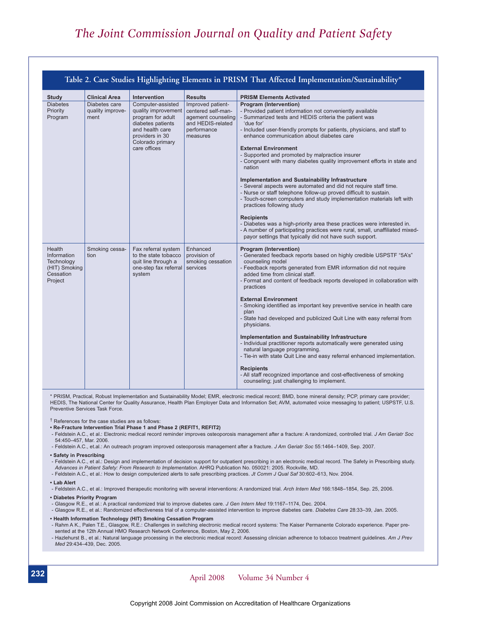| Table 2. Case Studies Highlighting Elements in PRISM That Affected Implementation/Sustainability* |                                           |                                                                                                                                                              |                                                                                                               |                                                                                                                                                                                                                                                                                                                                                                                                                                                                                                                                                                                                                                                                                                                                                                                                                                                                                                                                                                                                                |
|---------------------------------------------------------------------------------------------------|-------------------------------------------|--------------------------------------------------------------------------------------------------------------------------------------------------------------|---------------------------------------------------------------------------------------------------------------|----------------------------------------------------------------------------------------------------------------------------------------------------------------------------------------------------------------------------------------------------------------------------------------------------------------------------------------------------------------------------------------------------------------------------------------------------------------------------------------------------------------------------------------------------------------------------------------------------------------------------------------------------------------------------------------------------------------------------------------------------------------------------------------------------------------------------------------------------------------------------------------------------------------------------------------------------------------------------------------------------------------|
| <b>Study</b>                                                                                      | <b>Clinical Area</b>                      | <b>Intervention</b>                                                                                                                                          | <b>Results</b>                                                                                                | <b>PRISM Elements Activated</b>                                                                                                                                                                                                                                                                                                                                                                                                                                                                                                                                                                                                                                                                                                                                                                                                                                                                                                                                                                                |
| <b>Diabetes</b><br>Priority<br>Program                                                            | Diabetes care<br>quality improve-<br>ment | Computer-assisted<br>quality improvement<br>program for adult<br>diabetes patients<br>and health care<br>providers in 30<br>Colorado primary<br>care offices | Improved patient-<br>centered self-man-<br>agement counseling<br>and HEDIS-related<br>performance<br>measures | <b>Program (Intervention)</b><br>- Provided patient information not conveniently available<br>- Summarized tests and HEDIS criteria the patient was<br>'due for'<br>- Included user-friendly prompts for patients, physicians, and staff to<br>enhance communication about diabetes care<br><b>External Environment</b><br>- Supported and promoted by malpractice insurer<br>- Congruent with many diabetes quality improvement efforts in state and<br>nation<br>Implementation and Sustainability Infrastructure<br>- Several aspects were automated and did not require staff time.<br>- Nurse or staff telephone follow-up proved difficult to sustain.<br>- Touch-screen computers and study implementation materials left with<br>practices following study<br><b>Recipients</b><br>- Diabetes was a high-priority area these practices were interested in.<br>- A number of participating practices were rural, small, unaffiliated mixed-<br>payor settings that typically did not have such support. |
| Health<br>Information<br>Technology<br>(HIT) Smoking<br>Cessation<br>Project                      | Smoking cessa-<br>tion                    | Fax referral system<br>to the state tobacco<br>quit line through a<br>one-step fax referral<br>system                                                        | Enhanced<br>provision of<br>smoking cessation<br>services                                                     | <b>Program (Intervention)</b><br>- Generated feedback reports based on highly credible USPSTF "5A's"<br>counseling model<br>- Feedback reports generated from EMR information did not require<br>added time from clinical staff.<br>- Format and content of feedback reports developed in collaboration with<br>practices<br><b>External Environment</b><br>- Smoking identified as important key preventive service in health care<br>plan<br>- State had developed and publicized Quit Line with easy referral from<br>physicians.<br><b>Implementation and Sustainability Infrastructure</b><br>- Individual practitioner reports automatically were generated using<br>natural language programming.<br>- Tie-in with state Quit Line and easy referral enhanced implementation.<br><b>Recipients</b><br>- All staff recognized importance and cost-effectiveness of smoking<br>counseling; just challenging to implement.                                                                                 |

\* PRISM, Practical, Robust Implementation and Sustainability Model; EMR, electronic medical record; BMD, bone mineral density; PCP, primary care provider; HEDIS, The National Center for Quality Assurance, Health Plan Employer Data and Information Set; AVM, automated voice messaging to patient; USPSTF, U.S. Preventive Services Task Force.

† References for the case studies are as follows:

- **Re-Fracture Intervention Trial Phase 1 and Phase 2 (REFIT1, REFIT2)**
- Feldstein A.C., et al.: Electronic medical record reminder improves osteoporosis management after a fracture: A randomized, controlled trial. *J Am Geriatr Soc* 54:450–457, Mar. 2006.
- Feldstein A.C., et.al.: An outreach program improved osteoporosis management after a fracture. *J Am Geriatr Soc* 55:1464–1409, Sep. 2007.
- **Safety in Prescribing**

- Feldstein A.C., et al.: Design and implementation of decision support for outpatient prescribing in an electronic medical record. The Safety in Prescribing study. *Advances in Patient Safety: From Research to Implementation.* AHRQ Publication No. 050021: 2005. Rockville, MD.

- Feldstein A.C., et al.: How to design computerized alerts to safe prescribing practices. *Jt Comm J Qual Saf* 30:602–613, Nov. 2004.
- **Lab Alert**
- Feldstein A.C., et al.: Improved therapeutic monitoring with several interventions: A randomized trial. *Arch Intern Med* 166:1848–1854, Sep. 25, 2006.
- **Diabetes Priority Program**
- Glasgow R.E., et al.: A practical randomized trial to improve diabetes care. *J Gen Intern Med* 19:1167–1174, Dec. 2004.
- Glasgow R.E., et al.: Randomized effectiveness trial of a computer-assisted intervention to improve diabetes care. *Diabetes Care* 28:33–39, Jan. 2005.
- **Health Information Technology (HIT) Smoking Cessation Program**
- Rahm A K., Palen T.E., Glasgow, R.E.: Challenges in switching electronic medical record systems: The Kaiser Permanente Colorado experience. Paper presented at the 12th Annual HMO Research Network Conference, Boston, May 2, 2006.
- Hazlehurst B., et al.: Natural language processing in the electronic medical record: Assessing clinician adherence to tobacco treatment guidelines. *Am J Prev Med* 29:434–439, Dec. 2005.

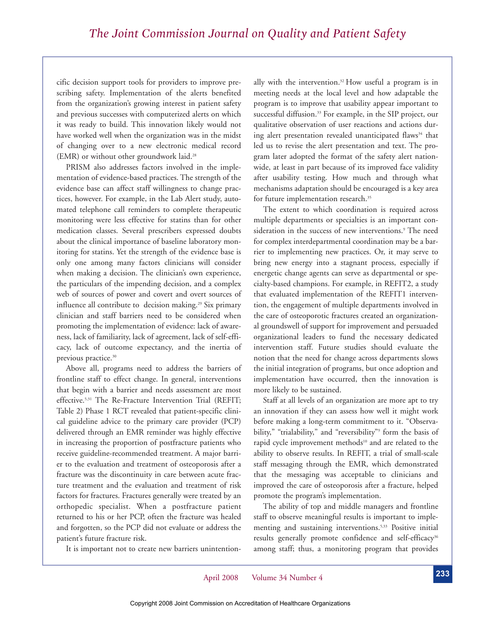cific decision support tools for providers to improve prescribing safety. Implementation of the alerts benefited from the organization's growing interest in patient safety and previous successes with computerized alerts on which it was ready to build. This innovation likely would not have worked well when the organization was in the midst of changing over to a new electronic medical record (EMR) or without other groundwork laid.28

PRISM also addresses factors involved in the implementation of evidence-based practices. The strength of the evidence base can affect staff willingness to change practices, however. For example, in the Lab Alert study, automated telephone call reminders to complete therapeutic monitoring were less effective for statins than for other medication classes. Several prescribers expressed doubts about the clinical importance of baseline laboratory monitoring for statins. Yet the strength of the evidence base is only one among many factors clinicians will consider when making a decision. The clinician's own experience, the particulars of the impending decision, and a complex web of sources of power and covert and overt sources of influence all contribute to decision making.<sup>29</sup> Six primary clinician and staff barriers need to be considered when promoting the implementation of evidence: lack of awareness, lack of familiarity, lack of agreement, lack of self-efficacy, lack of outcome expectancy, and the inertia of previous practice.<sup>30</sup>

Above all, programs need to address the barriers of frontline staff to effect change. In general, interventions that begin with a barrier and needs assessment are most effective.<sup>5,31</sup> The Re-Fracture Intervention Trial (REFIT; Table 2) Phase 1 RCT revealed that patient-specific clinical guideline advice to the primary care provider (PCP) delivered through an EMR reminder was highly effective in increasing the proportion of postfracture patients who receive guideline-recommended treatment. A major barrier to the evaluation and treatment of osteoporosis after a fracture was the discontinuity in care between acute fracture treatment and the evaluation and treatment of risk factors for fractures. Fractures generally were treated by an orthopedic specialist. When a postfracture patient returned to his or her PCP, often the fracture was healed and forgotten, so the PCP did not evaluate or address the patient's future fracture risk.

It is important not to create new barriers unintention-

ally with the intervention.<sup>32</sup> How useful a program is in meeting needs at the local level and how adaptable the program is to improve that usability appear important to successful diffusion.<sup>33</sup> For example, in the SIP project, our qualitative observation of user reactions and actions during alert presentation revealed unanticipated flaws<sup>34</sup> that led us to revise the alert presentation and text. The program later adopted the format of the safety alert nationwide, at least in part because of its improved face validity after usability testing. How much and through what mechanisms adaptation should be encouraged is a key area for future implementation research.<sup>35</sup>

The extent to which coordination is required across multiple departments or specialties is an important consideration in the success of new interventions.<sup>9</sup> The need for complex interdepartmental coordination may be a barrier to implementing new practices. Or, it may serve to bring new energy into a stagnant process, especially if energetic change agents can serve as departmental or specialty-based champions. For example, in REFIT2, a study that evaluated implementation of the REFIT1 intervention, the engagement of multiple departments involved in the care of osteoporotic fractures created an organizational groundswell of support for improvement and persuaded organizational leaders to fund the necessary dedicated intervention staff. Future studies should evaluate the notion that the need for change across departments slows the initial integration of programs, but once adoption and implementation have occurred, then the innovation is more likely to be sustained.

Staff at all levels of an organization are more apt to try an innovation if they can assess how well it might work before making a long-term commitment to it. "Observability," "trialability," and "reversibility"<sup>9</sup> form the basis of rapid cycle improvement methods<sup>10</sup> and are related to the ability to observe results. In REFIT, a trial of small-scale staff messaging through the EMR, which demonstrated that the messaging was acceptable to clinicians and improved the care of osteoporosis after a fracture, helped promote the program's implementation.

The ability of top and middle managers and frontline staff to observe meaningful results is important to implementing and sustaining interventions.<sup>5,33</sup> Positive initial results generally promote confidence and self-efficacy<sup>36</sup> among staff; thus, a monitoring program that provides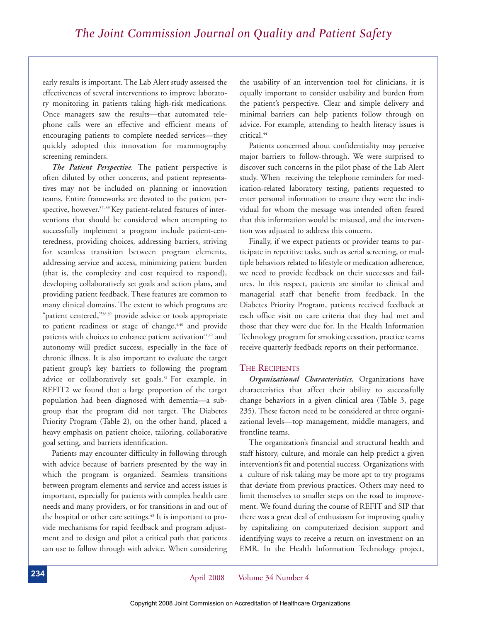early results is important. The Lab Alert study assessed the effectiveness of several interventions to improve laboratory monitoring in patients taking high-risk medications. Once managers saw the results—that automated telephone calls were an effective and efficient means of encouraging patients to complete needed services—they quickly adopted this innovation for mammography screening reminders.

*The Patient Perspective.* The patient perspective is often diluted by other concerns, and patient representatives may not be included on planning or innovation teams. Entire frameworks are devoted to the patient perspective, however.<sup>37-39</sup> Key patient-related features of interventions that should be considered when attempting to successfully implement a program include patient-centeredness, providing choices, addressing barriers, striving for seamless transition between program elements, addressing service and access, minimizing patient burden (that is, the complexity and cost required to respond), developing collaboratively set goals and action plans, and providing patient feedback. These features are common to many clinical domains. The extent to which programs are "patient centered,"38,39 provide advice or tools appropriate to patient readiness or stage of change,<sup>4,40</sup> and provide patients with choices to enhance patient activation<sup>41,42</sup> and autonomy will predict success, especially in the face of chronic illness. It is also important to evaluate the target patient group's key barriers to following the program advice or collaboratively set goals.<sup>31</sup> For example, in REFIT2 we found that a large proportion of the target population had been diagnosed with dementia—a subgroup that the program did not target. The Diabetes Priority Program (Table 2), on the other hand, placed a heavy emphasis on patient choice, tailoring, collaborative goal setting, and barriers identification.

Patients may encounter difficulty in following through with advice because of barriers presented by the way in which the program is organized. Seamless transitions between program elements and service and access issues is important, especially for patients with complex health care needs and many providers, or for transitions in and out of the hospital or other care settings.<sup>43</sup> It is important to provide mechanisms for rapid feedback and program adjustment and to design and pilot a critical path that patients can use to follow through with advice. When considering

the usability of an intervention tool for clinicians, it is equally important to consider usability and burden from the patient's perspective. Clear and simple delivery and minimal barriers can help patients follow through on advice. For example, attending to health literacy issues is critical.44

Patients concerned about confidentiality may perceive major barriers to follow-through. We were surprised to discover such concerns in the pilot phase of the Lab Alert study. When receiving the telephone reminders for medication-related laboratory testing, patients requested to enter personal information to ensure they were the individual for whom the message was intended often feared that this information would be misused, and the intervention was adjusted to address this concern.

Finally, if we expect patients or provider teams to participate in repetitive tasks, such as serial screening, or multiple behaviors related to lifestyle or medication adherence, we need to provide feedback on their successes and failures. In this respect, patients are similar to clinical and managerial staff that benefit from feedback. In the Diabetes Priority Program, patients received feedback at each office visit on care criteria that they had met and those that they were due for. In the Health Information Technology program for smoking cessation, practice teams receive quarterly feedback reports on their performance.

#### THE RECIPIENTS

*Organizational Characteristics.* Organizations have characteristics that affect their ability to successfully change behaviors in a given clinical area (Table 3, page 235). These factors need to be considered at three organizational levels—top management, middle managers, and frontline teams.

The organization's financial and structural health and staff history, culture, and morale can help predict a given intervention's fit and potential success. Organizations with a culture of risk taking may be more apt to try programs that deviate from previous practices. Others may need to limit themselves to smaller steps on the road to improvement. We found during the course of REFIT and SIP that there was a great deal of enthusiasm for improving quality by capitalizing on computerized decision support and identifying ways to receive a return on investment on an EMR. In the Health Information Technology project,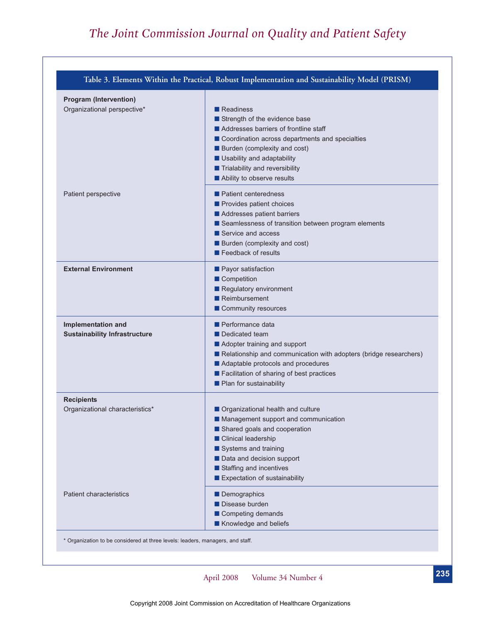| <b>Program (Intervention)</b>        |                                                                   |
|--------------------------------------|-------------------------------------------------------------------|
| Organizational perspective*          | $\blacksquare$ Readiness                                          |
|                                      | Strength of the evidence base                                     |
|                                      | Addresses barriers of frontline staff                             |
|                                      | Coordination across departments and specialties                   |
|                                      | Burden (complexity and cost)                                      |
|                                      | Usability and adaptability                                        |
|                                      | Trialability and reversibility                                    |
|                                      | Ability to observe results                                        |
| Patient perspective                  | Patient centeredness                                              |
|                                      | Provides patient choices                                          |
|                                      | Addresses patient barriers                                        |
|                                      | Seamlessness of transition between program elements               |
|                                      | Service and access                                                |
|                                      | Burden (complexity and cost)                                      |
|                                      | $\blacksquare$ Feedback of results                                |
| <b>External Environment</b>          | Payor satisfaction                                                |
|                                      | Competition                                                       |
|                                      | Regulatory environment                                            |
|                                      | Reimbursement                                                     |
|                                      | Community resources                                               |
| <b>Implementation and</b>            | Performance data                                                  |
| <b>Sustainability Infrastructure</b> | Dedicated team                                                    |
|                                      | Adopter training and support                                      |
|                                      | Relationship and communication with adopters (bridge researchers) |
|                                      | Adaptable protocols and procedures                                |
|                                      | Facilitation of sharing of best practices                         |
|                                      | Plan for sustainability                                           |
| <b>Recipients</b>                    |                                                                   |
| Organizational characteristics*      | Organizational health and culture                                 |
|                                      | Management support and communication                              |
|                                      | Shared goals and cooperation                                      |
|                                      | Clinical leadership                                               |
|                                      | Systems and training                                              |
|                                      | Data and decision support<br>Staffing and incentives              |
|                                      | Expectation of sustainability                                     |
|                                      |                                                                   |
| <b>Patient characteristics</b>       | Demographics                                                      |
|                                      | Disease burden                                                    |
|                                      | Competing demands<br>Knowledge and beliefs                        |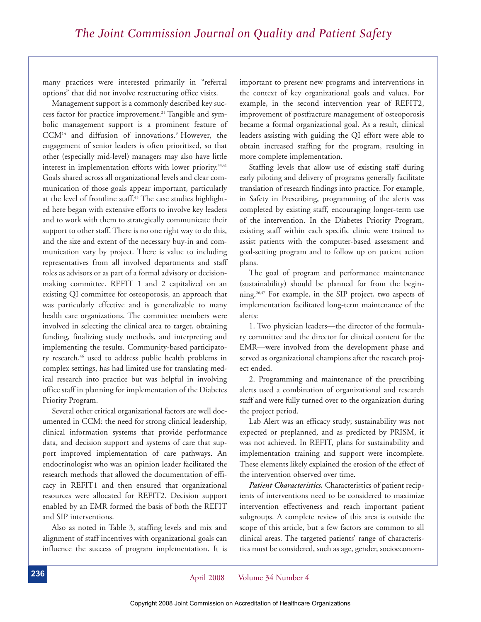many practices were interested primarily in "referral options" that did not involve restructuring office visits.

Management support is a commonly described key success factor for practice improvement.<sup>21</sup> Tangible and symbolic management support is a prominent feature of CCM<sup>14</sup> and diffusion of innovations.<sup>9</sup> However, the engagement of senior leaders is often prioritized, so that other (especially mid-level) managers may also have little interest in implementation efforts with lower priority.<sup>33,41</sup> Goals shared across all organizational levels and clear communication of those goals appear important, particularly at the level of frontline staff.<sup>45</sup> The case studies highlighted here began with extensive efforts to involve key leaders and to work with them to strategically communicate their support to other staff. There is no one right way to do this, and the size and extent of the necessary buy-in and communication vary by project. There is value to including representatives from all involved departments and staff roles as advisors or as part of a formal advisory or decisionmaking committee. REFIT 1 and 2 capitalized on an existing QI committee for osteoporosis, an approach that was particularly effective and is generalizable to many health care organizations. The committee members were involved in selecting the clinical area to target, obtaining funding, finalizing study methods, and interpreting and implementing the results. Community-based participatory research,<sup>46</sup> used to address public health problems in complex settings, has had limited use for translating medical research into practice but was helpful in involving office staff in planning for implementation of the Diabetes Priority Program.

Several other critical organizational factors are well documented in CCM: the need for strong clinical leadership, clinical information systems that provide performance data, and decision support and systems of care that support improved implementation of care pathways. An endocrinologist who was an opinion leader facilitated the research methods that allowed the documentation of efficacy in REFIT1 and then ensured that organizational resources were allocated for REFIT2. Decision support enabled by an EMR formed the basis of both the REFIT and SIP interventions.

Also as noted in Table 3, staffing levels and mix and alignment of staff incentives with organizational goals can influence the success of program implementation. It is important to present new programs and interventions in the context of key organizational goals and values. For example, in the second intervention year of REFIT2, improvement of postfracture management of osteoporosis became a formal organizational goal. As a result, clinical leaders assisting with guiding the QI effort were able to obtain increased staffing for the program, resulting in more complete implementation.

Staffing levels that allow use of existing staff during early piloting and delivery of programs generally facilitate translation of research findings into practice. For example, in Safety in Prescribing, programming of the alerts was completed by existing staff, encouraging longer-term use of the intervention. In the Diabetes Priority Program, existing staff within each specific clinic were trained to assist patients with the computer-based assessment and goal-setting program and to follow up on patient action plans.

The goal of program and performance maintenance (sustainability) should be planned for from the beginning.26,47 For example, in the SIP project, two aspects of implementation facilitated long-term maintenance of the alerts:

1. Two physician leaders—the director of the formulary committee and the director for clinical content for the EMR—were involved from the development phase and served as organizational champions after the research project ended.

2. Programming and maintenance of the prescribing alerts used a combination of organizational and research staff and were fully turned over to the organization during the project period.

Lab Alert was an efficacy study; sustainability was not expected or preplanned, and as predicted by PRISM, it was not achieved. In REFIT, plans for sustainability and implementation training and support were incomplete. These elements likely explained the erosion of the effect of the intervention observed over time.

*Patient Characteristics.* Characteristics of patient recipients of interventions need to be considered to maximize intervention effectiveness and reach important patient subgroups. A complete review of this area is outside the scope of this article, but a few factors are common to all clinical areas. The targeted patients' range of characteristics must be considered, such as age, gender, socioeconom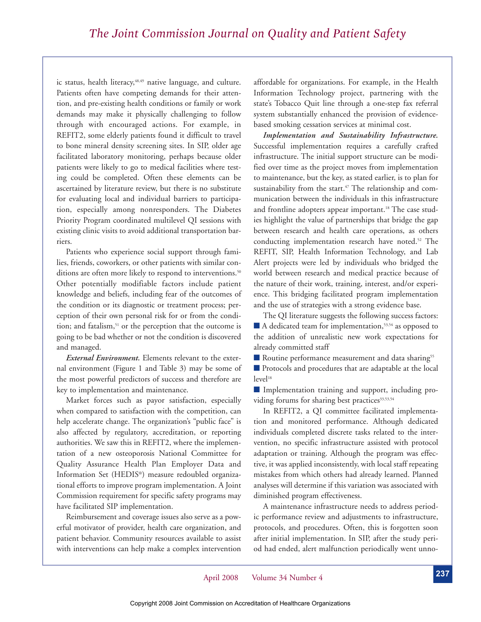ic status, health literacy,<sup>48,49</sup> native language, and culture. Patients often have competing demands for their attention, and pre-existing health conditions or family or work demands may make it physically challenging to follow through with encouraged actions. For example, in REFIT2, some elderly patients found it difficult to travel to bone mineral density screening sites. In SIP, older age facilitated laboratory monitoring, perhaps because older patients were likely to go to medical facilities where testing could be completed. Often these elements can be ascertained by literature review, but there is no substitute for evaluating local and individual barriers to participation, especially among nonresponders. The Diabetes Priority Program coordinated multilevel QI sessions with existing clinic visits to avoid additional transportation barriers.

Patients who experience social support through families, friends, coworkers, or other patients with similar conditions are often more likely to respond to interventions.<sup>50</sup> Other potentially modifiable factors include patient knowledge and beliefs, including fear of the outcomes of the condition or its diagnostic or treatment process; perception of their own personal risk for or from the condition; and fatalism,<sup>51</sup> or the perception that the outcome is going to be bad whether or not the condition is discovered and managed.

*External Environment.* Elements relevant to the external environment (Figure 1 and Table 3) may be some of the most powerful predictors of success and therefore are key to implementation and maintenance.

Market forces such as payor satisfaction, especially when compared to satisfaction with the competition, can help accelerate change. The organization's "public face" is also affected by regulatory, accreditation, or reporting authorities. We saw this in REFIT2, where the implementation of a new osteoporosis National Committee for Quality Assurance Health Plan Employer Data and Information Set (HEDIS®) measure redoubled organizational efforts to improve program implementation. A Joint Commission requirement for specific safety programs may have facilitated SIP implementation.

Reimbursement and coverage issues also serve as a powerful motivator of provider, health care organization, and patient behavior. Community resources available to assist with interventions can help make a complex intervention affordable for organizations. For example, in the Health Information Technology project, partnering with the state's Tobacco Quit line through a one-step fax referral system substantially enhanced the provision of evidencebased smoking cessation services at minimal cost.

*Implementation and Sustainability Infrastructure.* Successful implementation requires a carefully crafted infrastructure. The initial support structure can be modified over time as the project moves from implementation to maintenance, but the key, as stated earlier, is to plan for sustainability from the start.<sup>47</sup> The relationship and communication between the individuals in this infrastructure and frontline adopters appear important.<sup>18</sup> The case studies highlight the value of partnerships that bridge the gap between research and health care operations, as others conducting implementation research have noted.<sup>52</sup> The REFIT, SIP, Health Information Technology, and Lab Alert projects were led by individuals who bridged the world between research and medical practice because of the nature of their work, training, interest, and/or experience. This bridging facilitated program implementation and the use of strategies with a strong evidence base.

The QI literature suggests the following success factors: ■ A dedicated team for implementation,<sup>53,54</sup> as opposed to the addition of unrealistic new work expectations for already committed staff

■ Routine performance measurement and data sharing<sup>55</sup> ■ Protocols and procedures that are adaptable at the local  $level<sup>18</sup>$ 

■ Implementation training and support, including providing forums for sharing best practices<sup>33,53,54</sup>

In REFIT2, a QI committee facilitated implementation and monitored performance. Although dedicated individuals completed discrete tasks related to the intervention, no specific infrastructure assisted with protocol adaptation or training. Although the program was effective, it was applied inconsistently, with local staff repeating mistakes from which others had already learned. Planned analyses will determine if this variation was associated with diminished program effectiveness.

A maintenance infrastructure needs to address periodic performance review and adjustments to infrastructure, protocols, and procedures. Often, this is forgotten soon after initial implementation. In SIP, after the study period had ended, alert malfunction periodically went unno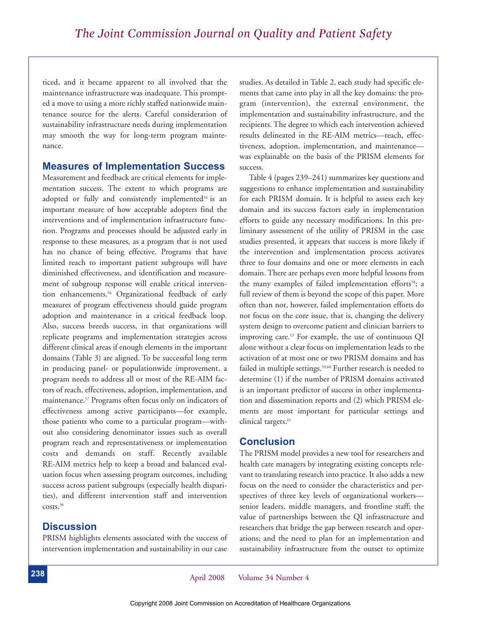ticed, and it became apparent to all involved that the maintenance infrastructure was inadequate. This prompted a move to using a more richly staffed nationwide maintenance source for the alerts. Careful consideration of sustainability infrastructure needs during implementation may smooth the way for long-term program maintenance.

#### **Measures of Implementation Success**

Measurement and feedback are critical elements for implementation success. The extent to which programs are adopted or fully and consistently implemented<sup>16</sup> is an important measure of how acceptable adopters find the interventions and of implementation infrastructure function. Programs and processes should be adjusted early in response to these measures, as a program that is not used has no chance of being effective. Programs that have limited reach to important patient subgroups will have diminished effectiveness, and identification and measurement of subgroup response will enable critical intervention enhancements.<sup>56</sup> Organizational feedback of early measures of program effectiveness should guide program adoption and maintenance in a critical feedback loop. Also, success breeds success, in that organizations will replicate programs and implementation strategies across different clinical areas if enough elements in the important domains (Table 3) are aligned. To be successful long term in producing panel- or populationwide improvement, a program needs to address all or most of the RE-AIM factors of reach, effectiveness, adoption, implementation, and maintenance.57 Programs often focus only on indicators of effectiveness among active participants—for example, those patients who come to a particular program—without also considering denominator issues such as overall program reach and representativeness or implementation costs and demands on staff. Recently available RE-AIM metrics help to keep a broad and balanced evaluation focus when assessing program outcomes, including success across patient subgroups (especially health disparities), and different intervention staff and intervention  $costs$ <sup>56</sup>

#### **Discussion**

PRISM highlights elements associated with the success of intervention implementation and sustainability in our case

studies. As detailed in Table 2, each study had specific elements that came into play in all the key domains: the program (intervention), the external environment, the implementation and sustainability infrastructure, and the recipients. The degree to which each intervention achieved results delineated in the RE-AIM metrics—reach, effectiveness, adoption, implementation, and maintenance was explainable on the basis of the PRISM elements for success.

Table 4 (pages 239–241) summarizes key questions and suggestions to enhance implementation and sustainability for each PRISM domain. It is helpful to assess each key domain and its success factors early in implementation efforts to guide any necessary modifications. In this preliminary assessment of the utility of PRISM in the case studies presented, it appears that success is more likely if the intervention and implementation process activates three to four domains and one or more elements in each domain. There are perhaps even more helpful lessons from the many examples of failed implementation efforts<sup>58</sup>; a full review of them is beyond the scope of this paper. More often than not, however, failed implementation efforts do not focus on the core issue, that is, changing the delivery system design to overcome patient and clinician barriers to improving care.13 For example, the use of continuous QI alone without a clear focus on implementation leads to the activation of at most one or two PRISM domains and has failed in multiple settings.<sup>59,60</sup> Further research is needed to determine (1) if the number of PRISM domains activated is an important predictor of success in other implementation and dissemination reports and (2) which PRISM elements are most important for particular settings and clinical targets.<sup>61</sup>

#### **Conclusion**

The PRISM model provides a new tool for researchers and health care managers by integrating existing concepts relevant to translating research into practice. It also adds a new focus on the need to consider the characteristics and perspectives of three key levels of organizational workers senior leaders, middle managers, and frontline staff; the value of partnerships between the QI infrastructure and researchers that bridge the gap between research and operations; and the need to plan for an implementation and sustainability infrastructure from the outset to optimize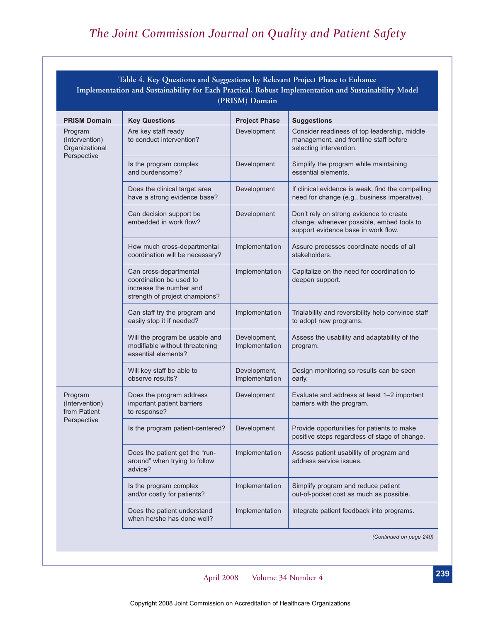| Table 4. Key Questions and Suggestions by Relevant Project Phase to Enhance<br>Implementation and Sustainability for Each Practical, Robust Implementation and Sustainability Model<br>(PRISM) Domain |                                                                                                                |                                |                                                                                                                             |  |
|-------------------------------------------------------------------------------------------------------------------------------------------------------------------------------------------------------|----------------------------------------------------------------------------------------------------------------|--------------------------------|-----------------------------------------------------------------------------------------------------------------------------|--|
| <b>PRISM Domain</b>                                                                                                                                                                                   | <b>Key Questions</b>                                                                                           | <b>Project Phase</b>           | <b>Suggestions</b>                                                                                                          |  |
| Program<br>(Intervention)<br>Organizational<br>Perspective                                                                                                                                            | Are key staff ready<br>to conduct intervention?                                                                | Development                    | Consider readiness of top leadership, middle<br>management, and frontline staff before<br>selecting intervention.           |  |
|                                                                                                                                                                                                       | Is the program complex<br>and burdensome?                                                                      | Development                    | Simplify the program while maintaining<br>essential elements.                                                               |  |
|                                                                                                                                                                                                       | Does the clinical target area<br>have a strong evidence base?                                                  | Development                    | If clinical evidence is weak, find the compelling<br>need for change (e.g., business imperative).                           |  |
|                                                                                                                                                                                                       | Can decision support be<br>embedded in work flow?                                                              | Development                    | Don't rely on strong evidence to create<br>change; whenever possible, embed tools to<br>support evidence base in work flow. |  |
|                                                                                                                                                                                                       | How much cross-departmental<br>coordination will be necessary?                                                 | Implementation                 | Assure processes coordinate needs of all<br>stakeholders.                                                                   |  |
|                                                                                                                                                                                                       | Can cross-departmental<br>coordination be used to<br>increase the number and<br>strength of project champions? | Implementation                 | Capitalize on the need for coordination to<br>deepen support.                                                               |  |
|                                                                                                                                                                                                       | Can staff try the program and<br>easily stop it if needed?                                                     | Implementation                 | Trialability and reversibility help convince staff<br>to adopt new programs.                                                |  |
|                                                                                                                                                                                                       | Will the program be usable and<br>modifiable without threatening<br>essential elements?                        | Development,<br>Implementation | Assess the usability and adaptability of the<br>program.                                                                    |  |
|                                                                                                                                                                                                       | Will key staff be able to<br>observe results?                                                                  | Development,<br>Implementation | Design monitoring so results can be seen<br>early.                                                                          |  |
| Program<br>(Intervention)<br>from Patient<br>Perspective                                                                                                                                              | Does the program address<br>important patient barriers<br>to response?                                         | Development                    | Evaluate and address at least 1-2 important<br>barriers with the program.                                                   |  |
|                                                                                                                                                                                                       | Is the program patient-centered?                                                                               | Development                    | Provide opportunities for patients to make<br>positive steps regardless of stage of change.                                 |  |
|                                                                                                                                                                                                       | Does the patient get the "run-<br>around" when trying to follow<br>advice?                                     | Implementation                 | Assess patient usability of program and<br>address service issues.                                                          |  |
|                                                                                                                                                                                                       | Is the program complex<br>and/or costly for patients?                                                          | Implementation                 | Simplify program and reduce patient<br>out-of-pocket cost as much as possible.                                              |  |
|                                                                                                                                                                                                       | Does the patient understand<br>when he/she has done well?                                                      | Implementation                 | Integrate patient feedback into programs.                                                                                   |  |
|                                                                                                                                                                                                       |                                                                                                                |                                | (Continued on page 240)                                                                                                     |  |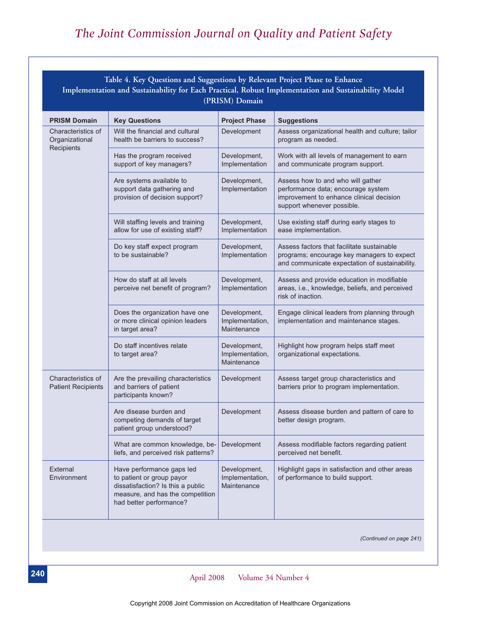| Table 4. Key Questions and Suggestions by Relevant Project Phase to Enhance<br>Implementation and Sustainability for Each Practical, Robust Implementation and Sustainability Model<br>(PRISM) Domain |                                                                                                                                                            |                                                |                                                                                                                                                   |  |
|-------------------------------------------------------------------------------------------------------------------------------------------------------------------------------------------------------|------------------------------------------------------------------------------------------------------------------------------------------------------------|------------------------------------------------|---------------------------------------------------------------------------------------------------------------------------------------------------|--|
| <b>PRISM Domain</b>                                                                                                                                                                                   | <b>Key Questions</b>                                                                                                                                       | <b>Project Phase</b>                           | <b>Suggestions</b>                                                                                                                                |  |
| Characteristics of<br>Organizational<br>Recipients                                                                                                                                                    | Will the financial and cultural<br>health be barriers to success?                                                                                          | Development                                    | Assess organizational health and culture; tailor<br>program as needed.                                                                            |  |
|                                                                                                                                                                                                       | Has the program received<br>support of key managers?                                                                                                       | Development,<br>Implementation                 | Work with all levels of management to earn<br>and communicate program support.                                                                    |  |
|                                                                                                                                                                                                       | Are systems available to<br>support data gathering and<br>provision of decision support?                                                                   | Development,<br>Implementation                 | Assess how to and who will gather<br>performance data; encourage system<br>improvement to enhance clinical decision<br>support whenever possible. |  |
|                                                                                                                                                                                                       | Will staffing levels and training<br>allow for use of existing staff?                                                                                      | Development,<br>Implementation                 | Use existing staff during early stages to<br>ease implementation.                                                                                 |  |
|                                                                                                                                                                                                       | Do key staff expect program<br>to be sustainable?                                                                                                          | Development,<br>Implementation                 | Assess factors that facilitate sustainable<br>programs; encourage key managers to expect<br>and communicate expectation of sustainability.        |  |
|                                                                                                                                                                                                       | How do staff at all levels<br>perceive net benefit of program?                                                                                             | Development,<br>Implementation                 | Assess and provide education in modifiable<br>areas, i.e., knowledge, beliefs, and perceived<br>risk of inaction.                                 |  |
|                                                                                                                                                                                                       | Does the organization have one<br>or more clinical opinion leaders<br>in target area?                                                                      | Development,<br>Implementation,<br>Maintenance | Engage clinical leaders from planning through<br>implementation and maintenance stages.                                                           |  |
|                                                                                                                                                                                                       | Do staff incentives relate<br>to target area?                                                                                                              | Development,<br>Implementation,<br>Maintenance | Highlight how program helps staff meet<br>organizational expectations.                                                                            |  |
| Characteristics of<br><b>Patient Recipients</b>                                                                                                                                                       | Are the prevailing characteristics<br>and barriers of patient<br>participants known?                                                                       | Development                                    | Assess target group characteristics and<br>barriers prior to program implementation.                                                              |  |
|                                                                                                                                                                                                       | Are disease burden and<br>competing demands of target<br>patient group understood?                                                                         | Development                                    | Assess disease burden and pattern of care to<br>better design program.                                                                            |  |
|                                                                                                                                                                                                       | What are common knowledge, be-<br>liefs, and perceived risk patterns?                                                                                      | Development                                    | Assess modifiable factors regarding patient<br>perceived net benefit.                                                                             |  |
| External<br>Environment                                                                                                                                                                               | Have performance gaps led<br>to patient or group payor<br>dissatisfaction? Is this a public<br>measure, and has the competition<br>had better performance? | Development,<br>Implementation,<br>Maintenance | Highlight gaps in satisfaction and other areas<br>of performance to build support.                                                                |  |

*(Continued on page 241)*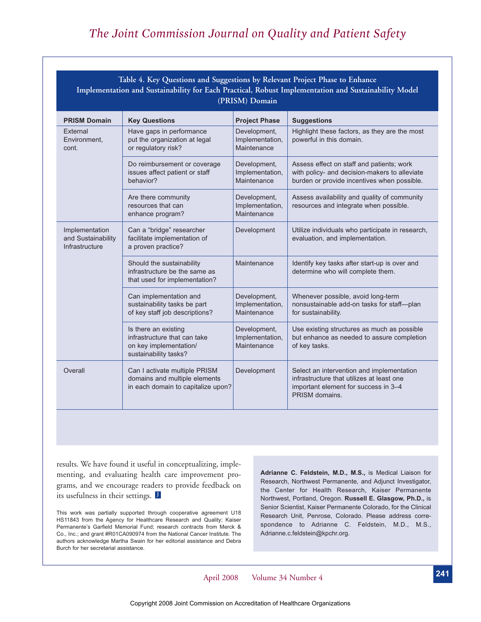| Table 4. Key Questions and Suggestions by Relevant Project Phase to Enhance<br>Implementation and Sustainability for Each Practical, Robust Implementation and Sustainability Model<br>(PRISM) Domain |                                                                                                         |                                                |                                                                                                                                                  |  |
|-------------------------------------------------------------------------------------------------------------------------------------------------------------------------------------------------------|---------------------------------------------------------------------------------------------------------|------------------------------------------------|--------------------------------------------------------------------------------------------------------------------------------------------------|--|
| <b>PRISM Domain</b>                                                                                                                                                                                   | <b>Key Questions</b>                                                                                    | <b>Project Phase</b>                           | <b>Suggestions</b>                                                                                                                               |  |
| <b>Fxternal</b><br>Environment,<br>cont.                                                                                                                                                              | Have gaps in performance<br>put the organization at legal<br>or regulatory risk?                        | Development,<br>Implementation,<br>Maintenance | Highlight these factors, as they are the most<br>powerful in this domain.                                                                        |  |
|                                                                                                                                                                                                       | Do reimbursement or coverage<br>issues affect patient or staff<br>behavior?                             | Development,<br>Implementation,<br>Maintenance | Assess effect on staff and patients; work<br>with policy- and decision-makers to alleviate<br>burden or provide incentives when possible.        |  |
|                                                                                                                                                                                                       | Are there community<br>resources that can<br>enhance program?                                           | Development,<br>Implementation,<br>Maintenance | Assess availability and quality of community<br>resources and integrate when possible.                                                           |  |
| Implementation<br>and Sustainability<br>Infrastructure                                                                                                                                                | Can a "bridge" researcher<br>facilitate implementation of<br>a proven practice?                         | Development                                    | Utilize individuals who participate in research,<br>evaluation, and implementation.                                                              |  |
|                                                                                                                                                                                                       | Should the sustainability<br>infrastructure be the same as<br>that used for implementation?             | Maintenance                                    | Identify key tasks after start-up is over and<br>determine who will complete them.                                                               |  |
|                                                                                                                                                                                                       | Can implementation and<br>sustainability tasks be part<br>of key staff job descriptions?                | Development,<br>Implementation,<br>Maintenance | Whenever possible, avoid long-term<br>nonsustainable add-on tasks for staff-plan<br>for sustainability.                                          |  |
|                                                                                                                                                                                                       | Is there an existing<br>infrastructure that can take<br>on key implementation/<br>sustainability tasks? | Development,<br>Implementation,<br>Maintenance | Use existing structures as much as possible<br>but enhance as needed to assure completion<br>of key tasks.                                       |  |
| Overall                                                                                                                                                                                               | Can I activate multiple PRISM<br>domains and multiple elements<br>in each domain to capitalize upon?    | Development                                    | Select an intervention and implementation<br>infrastructure that utilizes at least one<br>important element for success in 3-4<br>PRISM domains. |  |

results. We have found it useful in conceptualizing, implementing, and evaluating health care improvement programs, and we encourage readers to provide feedback on its usefulness in their settings. **J**

This work was partially supported through cooperative agreement U18 HS11843 from the Agency for Healthcare Research and Quality; Kaiser Permanente's Garfield Memorial Fund; research contracts from Merck & Co., Inc.; and grant #R01CA090974 from the National Cancer Institute. The authors acknowledge Martha Swain for her editorial assistance and Debra Burch for her secretarial assistance.

**Adrianne C. Feldstein, M.D., M.S.,** is Medical Liaison for Research, Northwest Permanente, and Adjunct Investigator, the Center for Health Research, Kaiser Permanente Northwest, Portland, Oregon. **Russell E. Glasgow, Ph.D.,** is Senior Scientist, Kaiser Permanente Colorado, for the Clinical Research Unit, Penrose, Colorado. Please address correspondence to Adrianne C. Feldstein, M.D., M.S., Adrianne.c.feldstein@kpchr.org.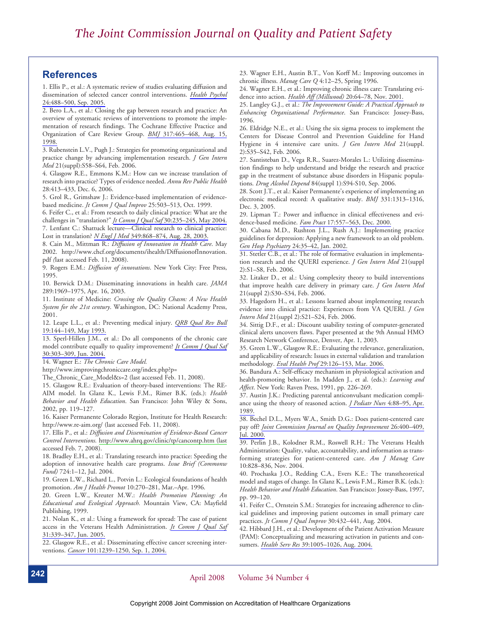#### **References**

1. Ellis P., et al.: A systematic review of studies evaluating diffusion and dissemination of selected cancer control interventions. *[Health Psychol](http://www.ingentaconnect.com/content/external-references?article=0278-6133(2005)24L.488%5Baid=8233509%5D)* [24:488–500, Sep. 2005.](http://www.ingentaconnect.com/content/external-references?article=0278-6133(2005)24L.488%5Baid=8233509%5D)

2. Bero L.A., et al.: Closing the gap between research and practice: An overview of systematic reviews of interventions to promote the implementation of research findings. The Cochrane Effective Practice and Organization of Care Review Group. *BMJ* [317:465–468, Aug. 15,](http://www.ingentaconnect.com/content/external-references?article=0959-535x(1998)317L.465%5Baid=3862293%5D) [1998.](http://www.ingentaconnect.com/content/external-references?article=0959-535x(1998)317L.465%5Baid=3862293%5D)

3. Rubenstein L.V., Pugh J.: Strategies for promoting organizational and practice change by advancing implementation research. *J Gen Intern Med* 21(suppl):S58–S64, Feb. 2006.

4. Glasgow R.E., Emmons K.M.: How can we increase translation of research into practice? Types of evidence needed. *Annu Rev Public Health* 28:413–433, Dec. 6, 2006.

5. Grol R., Grimshaw J.: Evidence-based implementation of evidencebased medicine. *Jt Comm J Qual Improv* 25:503–513, Oct. 1999.

6. Feifer C., et al.: From research to daily clinical practice: What are the challenges in "translation?" *Jt Comm J Qual Saf* [30:235–245, May 2004.](http://www.ingentaconnect.com/content/external-references?article=1553-7250(2004)30L.235%5Baid=8144907%5D) 7. Lenfant C.: Shattuck lecture—Clinical research to clinical practice:

Lost in translation? *N Engl J Med* [349:868–874, Aug. 28, 2003.](http://www.ingentaconnect.com/content/external-references?article=0028-4793(2003)349L.868%5Baid=6612862%5D)

8. Cain M., Mittman R.: *Diffusion of Innovation in Health Care*. May 2002. http://www.chcf.org/documents/ihealth/DiffusionofInnovation. pdf *(*last accessed Feb. 11, 2008).

9. Rogers E.M.: *Diffusion of innovations*. New York City: Free Press, 1995.

10. Berwick D.M.: Disseminating innovations in health care. *JAMA* 289:1969–1975, Apr. 16, 2003.

11. Institute of Medicine: *Crossing the Quality Chasm: A New Health System for the 21st century*. Washington, DC: National Academy Press, 2001.

12. Leape L.L., et al.: Preventing medical injury. *[QRB Qual Rev Bull](http://www.ingentaconnect.com/content/external-references?article=0097-5990(1993)19L.144%5Baid=3195253%5D)* [19:144–149, May 1993.](http://www.ingentaconnect.com/content/external-references?article=0097-5990(1993)19L.144%5Baid=3195253%5D)

13. Sperl-Hillen J.M., et al.: Do all components of the chronic care model contribute equally to quality improvement? *[Jt Comm J Qual Saf](http://www.ingentaconnect.com/content/external-references?article=1553-7250(2004)30L.303%5Baid=8233508%5D)* [30:303–309, Jun. 2004.](http://www.ingentaconnect.com/content/external-references?article=1553-7250(2004)30L.303%5Baid=8233508%5D) 

14. Wagner E.: *The Chronic Care Model.*

http://www.improvingchroniccare.org/index.php?p=

The\_Chronic\_Care\_Model&s=2 (last accessed Feb. 11, 2008).

15. Glasgow R.E.: Evaluation of theory-based interventions: The RE-AIM model. In Glanz K., Lewis F.M., Rimer B.K. (eds.): *Health Behavior and Health Education*. San Francisco: John Wiley & Sons, 2002, pp. 119–127.

16. Kaiser Permanente Colorado Region, Institute for Health Research: http://www.re-aim.org/ (last accessed Feb. 11, 2008).

17. Ellis P., et al.: *Diffusion and Dissemination of Evidence-Based Cancer Control Interventions.* [http://www.ahrq.gov/clinic/tp/cancontp.htm \(last](http://www.ahrq.gov/clinic/tp/cancontp.htm) accessed Feb. 7, 2008).

18. Bradley E.H., et al.: Translating research into practice: Speeding the adoption of innovative health care programs. *Issue Brief (Commonw Fund)* 724:1–12, Jul. 2004.

19. Green L.W., Richard L., Potvin L.: Ecological foundations of health promotion. *Am J Health Promot* 10:270–281, Mar.–Apr. 1996.

20. Green L.W., Kreuter M.W.: *Health Promotion Planning: An Educational and Ecological Approach.* Mountain View, CA: Mayfield Publishing, 1999.

21. Nolan K., et al.: Using a framework for spread: The case of patient access in the Veterans Health Administration. *[Jt Comm J Qual Saf](http://www.ingentaconnect.com/content/external-references?article=1553-7250(2005)31L.339%5Baid=8233507%5D)* [31:339–347, Jun. 2005.](http://www.ingentaconnect.com/content/external-references?article=1553-7250(2005)31L.339%5Baid=8233507%5D) 

22. Glasgow R.E., et al.: Disseminating effective cancer screening interventions. *Cancer* [101:1239–1250, Sep. 1, 2004.](http://www.ingentaconnect.com/content/external-references?article=0008-543x(2004)101L.1239%5Baid=8233510%5D)

23. Wagner E.H., Austin B.T., Von Korff M.: Improving outcomes in chronic illness. *Manag Care Q* 4:12–25, Spring 1996.

24. Wagner E.H., et al.: Improving chronic illness care: Translating evidence into action. *Health Aff (Millwood)* [20:64–78, Nov. 2001.](http://www.ingentaconnect.com/content/external-references?article=0278-2715(2001)20L.64%5Baid=6130220%5D)

25. Langley G.J., et al.: *The Improvement Guide: A Practical Approach to Enhancing Organizational Performance*. San Francisco: Jossey-Bass, 1996.

26. Eldridge N.E., et al.: Using the six sigma process to implement the Centers for Disease Control and Prevention Guideline for Hand Hygiene in 4 intensive care units. *J Gen Intern Med* 21(suppl. 2):S35–S42, Feb. 2006.

27. Santisteban D., Vega R.R., Suarez-Morales L.: Utilizing dissemination findings to help understand and bridge the research and practice gap in the treatment of substance abuse disorders in Hispanic populations. *Drug Alcohol Depend* 84(suppl 1):S94-S10, Sep. 2006.

28. Scott J.T., et al.: Kaiser Permanente's experience of implementing an electronic medical record: A qualitative study. *BMJ* 331:1313–1316, Dec. 3, 2005.

29. Lipman T.: Power and influence in clinical effectiveness and evidence-based medicine. *Fam Pract* [17:557–563, Dec. 2000.](http://www.ingentaconnect.com/content/external-references?article=0263-2136(2000)17L.557%5Baid=8233506%5D)

30. Cabana M.D., Rushton J.L., Rush A.J.: Implementing practice guidelines for depression: Applying a new framework to an old problem. *Gen Hosp Psychiatry* [24:35–42, Jan. 2002.](http://www.ingentaconnect.com/content/external-references?article=0163-8343(2002)24L.35%5Baid=8233505%5D)

31. Stetler C.B., et al.: The role of formative evaluation in implementation research and the QUERI experience. *J Gen Intern Med* 21(suppl 2):S1–S8, Feb. 2006.

32. Litaker D., et al.: Using complexity theory to build interventions that improve health care delivery in primary care. *J Gen Intern Med* 21(suppl 2):S30–S34, Feb. 2006.

33. Hagedorn H., et al.: Lessons learned about implementing research evidence into clinical practice: Experiences from VA QUERI. *J Gen Intern Med* 21(suppl 2):S21–S24, Feb. 2006.

34. Sittig D.F., et al.: Discount usability testing of computer-generated clinical alerts uncovers flaws. Paper presented at the 9th Annual HMO Research Network Conference, Denver, Apr. 1, 2003.

35. Green L.W., Glasgow R.E.: Evaluating the relevance, generalization, and applicability of research: Issues in external validation and translation methodology. *Eval Health Prof* [29:126–153, Mar. 2006.](http://www.ingentaconnect.com/content/external-references?article=0163-2787(2006)29L.126%5Baid=8233504%5D)

36. Bandura A.: Self-efficacy mechanism in physiological activation and health-promoting behavior. In Madden J., et al. (eds.): *Learning and Affect*. New York: Raven Press, 1991, pp. 226–269.

37. Austin J.K.: Predicting parental anticonvulsant medication compliance using the theory of reasoned action. *J Pediatr Nurs* [4:88–95, Apr.](http://www.ingentaconnect.com/content/external-references?article=0882-5963(1989)4L.88%5Baid=8233503%5D) [1989.](http://www.ingentaconnect.com/content/external-references?article=0882-5963(1989)4L.88%5Baid=8233503%5D)

38. Bechel D.L., Myers W.A., Smith D.G.: Does patient-centered care pay off? *[Joint Commission Journal on Quality Improvement](http://www.ingentaconnect.com/content/external-references?article=1070-3241(2000)26L.400%5Baid=4746331%5D)* 26:400–409, Jul.  $2000$ .

39. Perlin J.B., Kolodner R.M., Roswell R.H.: The Veterans Health Administration: Quality, value, accountability, and information as transforming strategies for patient-centered care. *Am J Manag Care* 10:828–836, Nov. 2004.

40. Prochaska J.O., Redding C.A., Evers K.E.: The transtheoretical model and stages of change. In Glanz K., Lewis F.M., Rimer B.K. (eds.): *Health Behavior and Health Education*. San Francisco: Jossey-Bass, 1997, pp. 99–120.

41. Feifer C., Ornstein S.M.: Strategies for increasing adherence to clinical guidelines and improving patient outcomes in small primary care practices. *Jt Comm J Qual Improv* 30:432–441, Aug. 2004.

42. Hibbard J.H., et al.: Development of the Patient Activation Measure (PAM): Conceptualizing and measuring activation in patients and consumers. *Health Serv Res* [39:1005–1026, Aug. 2004.](http://www.ingentaconnect.com/content/external-references?article=0017-9124(2004)39L.1005%5Baid=7758072%5D)

**242** April 2008 Volume 34 Number 4